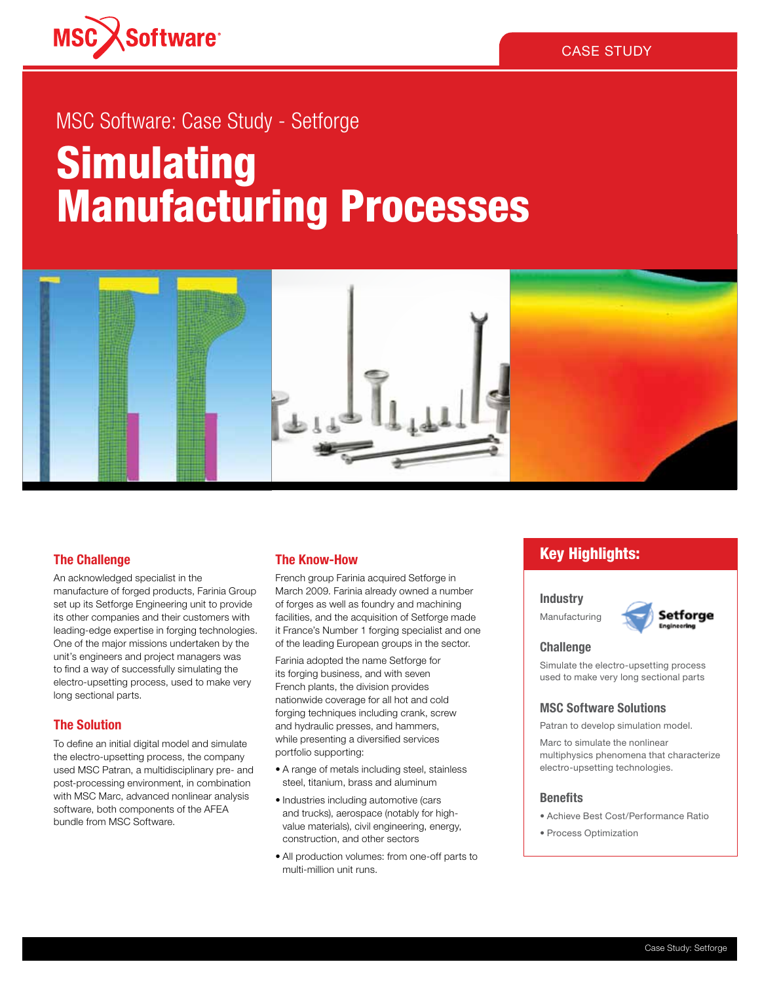

# MSC Software: Case Study - Setforge **Simulating** Manufacturing Processes



#### The Challenge

An acknowledged specialist in the manufacture of forged products, Farinia Group set up its Setforge Engineering unit to provide its other companies and their customers with leading-edge expertise in forging technologies. One of the major missions undertaken by the unit's engineers and project managers was to find a way of successfully simulating the electro-upsetting process, used to make very long sectional parts.

#### The Solution

To define an initial digital model and simulate the electro-upsetting process, the company used MSC Patran, a multidisciplinary pre- and post-processing environment, in combination with MSC Marc, advanced nonlinear analysis software, both components of the AFEA bundle from MSC Software.

#### The Know-How

French group Farinia acquired Setforge in March 2009. Farinia already owned a number of forges as well as foundry and machining facilities, and the acquisition of Setforge made it France's Number 1 forging specialist and one of the leading European groups in the sector.

Farinia adopted the name Setforge for its forging business, and with seven French plants, the division provides nationwide coverage for all hot and cold forging techniques including crank, screw and hydraulic presses, and hammers, while presenting a diversified services portfolio supporting:

- A range of metals including steel, stainless steel, titanium, brass and aluminum
- • Industries including automotive (cars and trucks), aerospace (notably for highvalue materials), civil engineering, energy, construction, and other sectors
- All production volumes: from one-off parts to multi-million unit runs.

### Key Highlights:

# **Industry**

Manufacturing



#### Challenge

Simulate the electro-upsetting process used to make very long sectional parts

#### MSC Software Solutions

Patran to develop simulation model.

Marc to simulate the nonlinear multiphysics phenomena that characterize electro-upsetting technologies.

#### **Benefits**

- • Achieve Best Cost/Performance Ratio
- • Process Optimization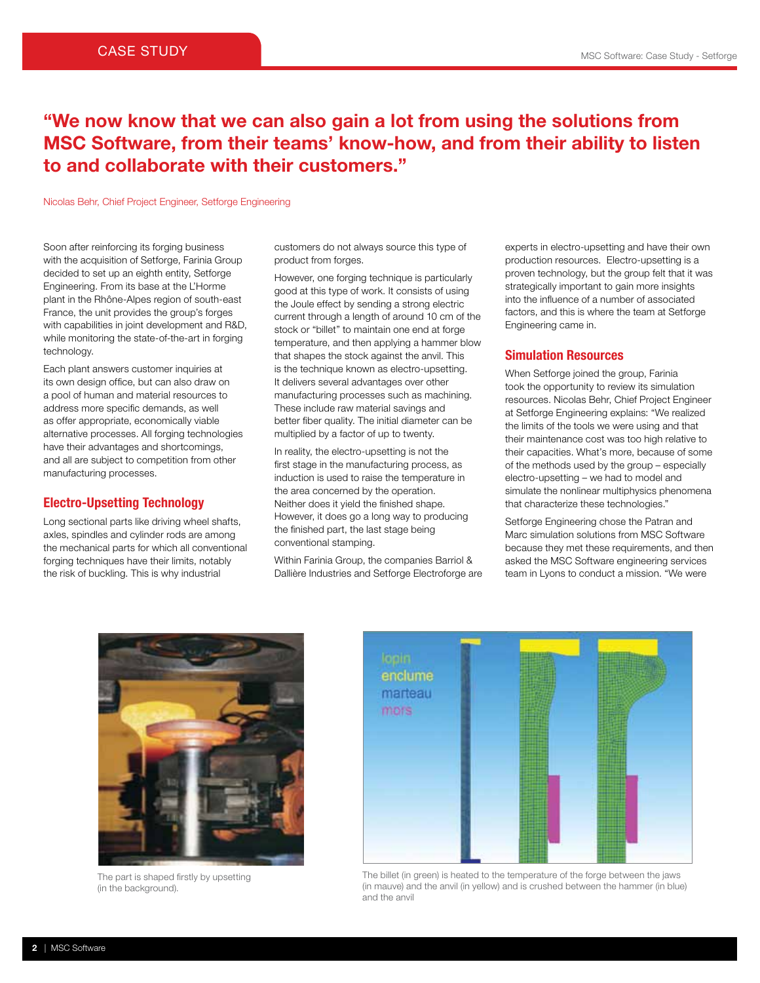## "We now know that we can also gain a lot from using the solutions from MSC Software, from their teams' know-how, and from their ability to listen to and collaborate with their customers."

#### Nicolas Behr, Chief Project Engineer, Setforge Engineering

Soon after reinforcing its forging business with the acquisition of Setforge, Farinia Group decided to set up an eighth entity, Setforge Engineering. From its base at the L'Horme plant in the Rhône-Alpes region of south-east France, the unit provides the group's forges with capabilities in joint development and R&D. while monitoring the state-of-the-art in forging technology.

Each plant answers customer inquiries at its own design office, but can also draw on a pool of human and material resources to address more specific demands, as well as offer appropriate, economically viable alternative processes. All forging technologies have their advantages and shortcomings, and all are subject to competition from other manufacturing processes.

#### Electro-Upsetting Technology

Long sectional parts like driving wheel shafts, axles, spindles and cylinder rods are among the mechanical parts for which all conventional forging techniques have their limits, notably the risk of buckling. This is why industrial

customers do not always source this type of product from forges.

However, one forging technique is particularly good at this type of work. It consists of using the Joule effect by sending a strong electric current through a length of around 10 cm of the stock or "billet" to maintain one end at forge temperature, and then applying a hammer blow that shapes the stock against the anvil. This is the technique known as electro-upsetting. It delivers several advantages over other manufacturing processes such as machining. These include raw material savings and better fiber quality. The initial diameter can be multiplied by a factor of up to twenty.

In reality, the electro-upsetting is not the first stage in the manufacturing process, as induction is used to raise the temperature in the area concerned by the operation. Neither does it yield the finished shape. However, it does go a long way to producing the finished part, the last stage being conventional stamping.

Within Farinia Group, the companies Barriol & Dallière Industries and Setforge Electroforge are experts in electro-upsetting and have their own production resources. Electro-upsetting is a proven technology, but the group felt that it was strategically important to gain more insights into the influence of a number of associated factors, and this is where the team at Setforge Engineering came in.

#### Simulation Resources

When Setforge joined the group, Farinia took the opportunity to review its simulation resources. Nicolas Behr, Chief Project Engineer at Setforge Engineering explains: "We realized the limits of the tools we were using and that their maintenance cost was too high relative to their capacities. What's more, because of some of the methods used by the group – especially electro-upsetting – we had to model and simulate the nonlinear multiphysics phenomena that characterize these technologies."

Setforge Engineering chose the Patran and Marc simulation solutions from MSC Software because they met these requirements, and then asked the MSC Software engineering services team in Lyons to conduct a mission. "We were



The part is shaped firstly by upsetting (in the background).



The billet (in green) is heated to the temperature of the forge between the jaws (in mauve) and the anvil (in yellow) and is crushed between the hammer (in blue) and the anvil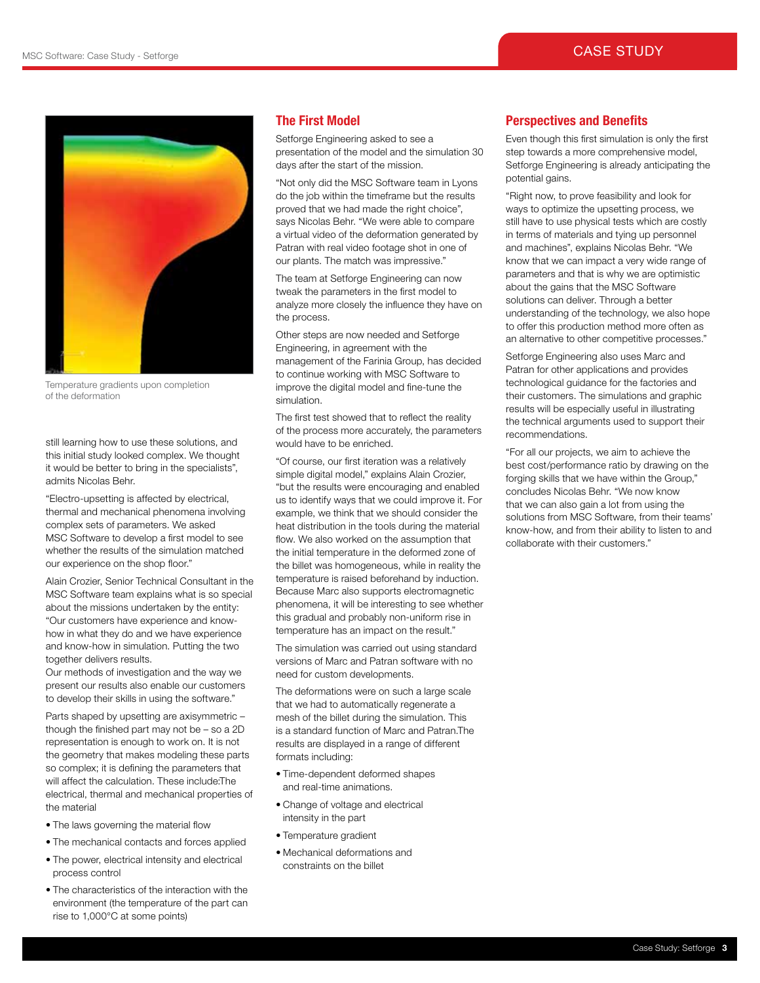

Temperature gradients upon completion of the deformation

still learning how to use these solutions, and this initial study looked complex. We thought it would be better to bring in the specialists", admits Nicolas Behr.

"Electro-upsetting is affected by electrical, thermal and mechanical phenomena involving complex sets of parameters. We asked MSC Software to develop a first model to see whether the results of the simulation matched our experience on the shop floor."

Alain Crozier, Senior Technical Consultant in the MSC Software team explains what is so special about the missions undertaken by the entity: "Our customers have experience and knowhow in what they do and we have experience and know-how in simulation. Putting the two together delivers results.

Our methods of investigation and the way we present our results also enable our customers to develop their skills in using the software."

Parts shaped by upsetting are axisymmetric – though the finished part may not be – so a 2D representation is enough to work on. It is not the geometry that makes modeling these parts so complex; it is defining the parameters that will affect the calculation. These include:The electrical, thermal and mechanical properties of the material

- The laws governing the material flow
- The mechanical contacts and forces applied
- The power, electrical intensity and electrical process control
- The characteristics of the interaction with the environment (the temperature of the part can rise to 1,000°C at some points)

#### The First Model

Setforge Engineering asked to see a presentation of the model and the simulation 30 days after the start of the mission.

"Not only did the MSC Software team in Lyons do the job within the timeframe but the results proved that we had made the right choice", says Nicolas Behr. "We were able to compare a virtual video of the deformation generated by Patran with real video footage shot in one of our plants. The match was impressive."

The team at Setforge Engineering can now tweak the parameters in the first model to analyze more closely the influence they have on the process.

Other steps are now needed and Setforge Engineering, in agreement with the management of the Farinia Group, has decided to continue working with MSC Software to improve the digital model and fine-tune the simulation.

The first test showed that to reflect the reality of the process more accurately, the parameters would have to be enriched.

"Of course, our first iteration was a relatively simple digital model," explains Alain Crozier, "but the results were encouraging and enabled us to identify ways that we could improve it. For example, we think that we should consider the heat distribution in the tools during the material flow. We also worked on the assumption that the initial temperature in the deformed zone of the billet was homogeneous, while in reality the temperature is raised beforehand by induction. Because Marc also supports electromagnetic phenomena, it will be interesting to see whether this gradual and probably non-uniform rise in temperature has an impact on the result."

The simulation was carried out using standard versions of Marc and Patran software with no need for custom developments.

The deformations were on such a large scale that we had to automatically regenerate a mesh of the billet during the simulation. This is a standard function of Marc and Patran.The results are displayed in a range of different formats including:

- Time-dependent deformed shapes and real-time animations.
- • Change of voltage and electrical intensity in the part
- • Temperature gradient
- • Mechanical deformations and constraints on the billet

#### Perspectives and Benefits

Even though this first simulation is only the first step towards a more comprehensive model, Setforge Engineering is already anticipating the potential gains.

"Right now, to prove feasibility and look for ways to optimize the upsetting process, we still have to use physical tests which are costly in terms of materials and tying up personnel and machines", explains Nicolas Behr. "We know that we can impact a very wide range of parameters and that is why we are optimistic about the gains that the MSC Software solutions can deliver. Through a better understanding of the technology, we also hope to offer this production method more often as an alternative to other competitive processes."

Setforge Engineering also uses Marc and Patran for other applications and provides technological guidance for the factories and their customers. The simulations and graphic results will be especially useful in illustrating the technical arguments used to support their recommendations.

"For all our projects, we aim to achieve the best cost/performance ratio by drawing on the forging skills that we have within the Group," concludes Nicolas Behr. "We now know that we can also gain a lot from using the solutions from MSC Software, from their teams' know-how, and from their ability to listen to and collaborate with their customers."